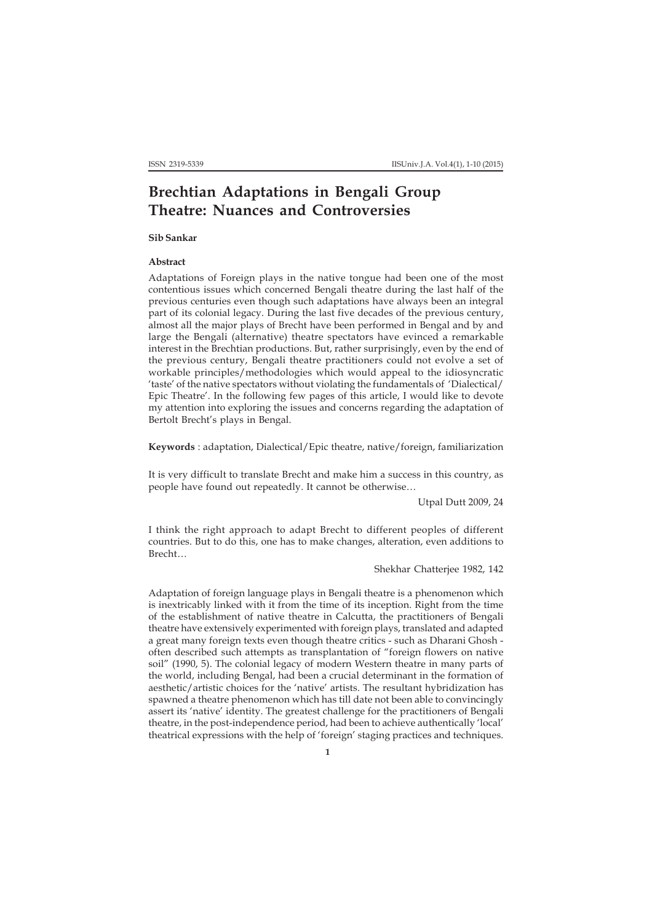# **Brechtian Adaptations in Bengali Group Theatre: Nuances and Controversies**

## **Sib Sankar**

#### **Abstract**

Adaptations of Foreign plays in the native tongue had been one of the most contentious issues which concerned Bengali theatre during the last half of the previous centuries even though such adaptations have always been an integral part of its colonial legacy. During the last five decades of the previous century, almost all the major plays of Brecht have been performed in Bengal and by and large the Bengali (alternative) theatre spectators have evinced a remarkable interest in the Brechtian productions. But, rather surprisingly, even by the end of the previous century, Bengali theatre practitioners could not evolve a set of workable principles/methodologies which would appeal to the idiosyncratic 'taste' of the native spectators without violating the fundamentals of 'Dialectical/ Epic Theatre'. In the following few pages of this article, I would like to devote my attention into exploring the issues and concerns regarding the adaptation of Bertolt Brecht's plays in Bengal.

**Keywords** : adaptation, Dialectical/Epic theatre, native/foreign, familiarization

It is very difficult to translate Brecht and make him a success in this country, as people have found out repeatedly. It cannot be otherwise…

Utpal Dutt 2009, 24

I think the right approach to adapt Brecht to different peoples of different countries. But to do this, one has to make changes, alteration, even additions to Brecht…

### Shekhar Chatterjee 1982, 142

Adaptation of foreign language plays in Bengali theatre is a phenomenon which is inextricably linked with it from the time of its inception. Right from the time of the establishment of native theatre in Calcutta, the practitioners of Bengali theatre have extensively experimented with foreign plays, translated and adapted a great many foreign texts even though theatre critics - such as Dharani Ghosh often described such attempts as transplantation of "foreign flowers on native soil" (1990, 5). The colonial legacy of modern Western theatre in many parts of the world, including Bengal, had been a crucial determinant in the formation of aesthetic/artistic choices for the 'native' artists. The resultant hybridization has spawned a theatre phenomenon which has till date not been able to convincingly assert its 'native' identity. The greatest challenge for the practitioners of Bengali theatre, in the post-independence period, had been to achieve authentically 'local' theatrical expressions with the help of 'foreign' staging practices and techniques.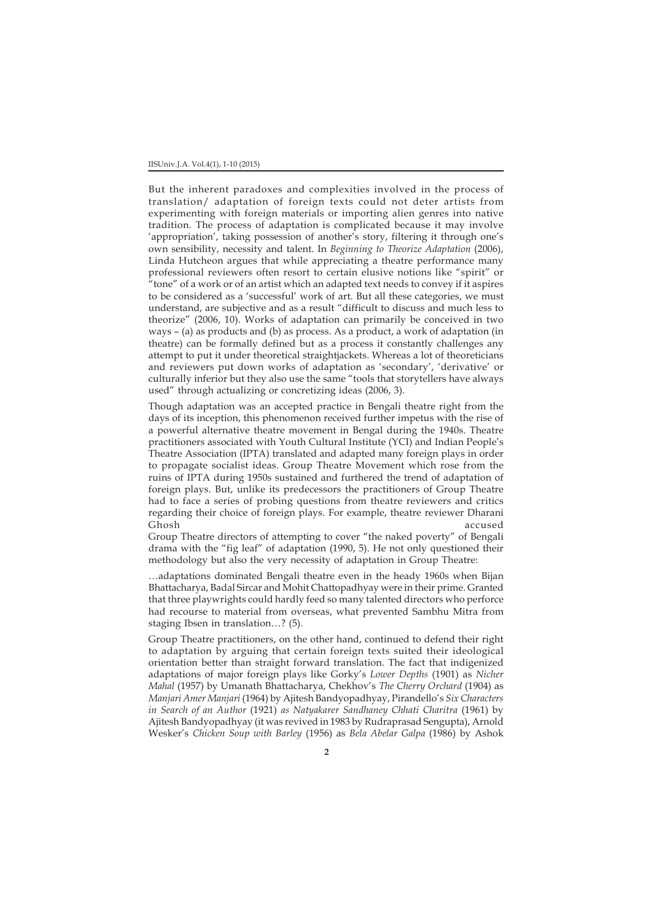But the inherent paradoxes and complexities involved in the process of translation/ adaptation of foreign texts could not deter artists from experimenting with foreign materials or importing alien genres into native tradition. The process of adaptation is complicated because it may involve 'appropriation', taking possession of another's story, filtering it through one's own sensibility, necessity and talent. In *Beginning to Theorize Adaptation* (2006), Linda Hutcheon argues that while appreciating a theatre performance many professional reviewers often resort to certain elusive notions like "spirit" or  $\hat{H}$  tone" of a work or of an artist which an adapted text needs to convey if it aspires to be considered as a 'successful' work of art. But all these categories, we must understand, are subjective and as a result "difficult to discuss and much less to theorize" (2006, 10). Works of adaptation can primarily be conceived in two ways – (a) as products and (b) as process. As a product, a work of adaptation (in theatre) can be formally defined but as a process it constantly challenges any attempt to put it under theoretical straightjackets. Whereas a lot of theoreticians and reviewers put down works of adaptation as 'secondary', 'derivative' or culturally inferior but they also use the same "tools that storytellers have always used" through actualizing or concretizing ideas (2006, 3).

Though adaptation was an accepted practice in Bengali theatre right from the days of its inception, this phenomenon received further impetus with the rise of a powerful alternative theatre movement in Bengal during the 1940s. Theatre practitioners associated with Youth Cultural Institute (YCI) and Indian People's Theatre Association (IPTA) translated and adapted many foreign plays in order to propagate socialist ideas. Group Theatre Movement which rose from the ruins of IPTA during 1950s sustained and furthered the trend of adaptation of foreign plays. But, unlike its predecessors the practitioners of Group Theatre had to face a series of probing questions from theatre reviewers and critics regarding their choice of foreign plays. For example, theatre reviewer Dharani Ghosh accused

Group Theatre directors of attempting to cover "the naked poverty" of Bengali drama with the "fig leaf" of adaptation (1990, 5). He not only questioned their methodology but also the very necessity of adaptation in Group Theatre:

…adaptations dominated Bengali theatre even in the heady 1960s when Bijan Bhattacharya, Badal Sircar and Mohit Chattopadhyay were in their prime. Granted that three playwrights could hardly feed so many talented directors who perforce had recourse to material from overseas, what prevented Sambhu Mitra from staging Ibsen in translation…? (5).

Group Theatre practitioners, on the other hand, continued to defend their right to adaptation by arguing that certain foreign texts suited their ideological orientation better than straight forward translation. The fact that indigenized adaptations of major foreign plays like Gorky's *Lower Depths* (1901) as *Nicher Mahal* (1957) by Umanath Bhattacharya, Chekhov's *The Cherry Orchard* (1904) as *Manjari Amer Manjari* (1964) by Ajitesh Bandyopadhyay, Pirandello's *Six Characters in Search of an Author* (1921) *as Natyakarer Sandhaney Chhati Charitra* (1961) by Ajitesh Bandyopadhyay (it was revived in 1983 by Rudraprasad Sengupta), Arnold Wesker's *Chicken Soup with Barley* (1956) as *Bela Abelar Galpa* (1986) by Ashok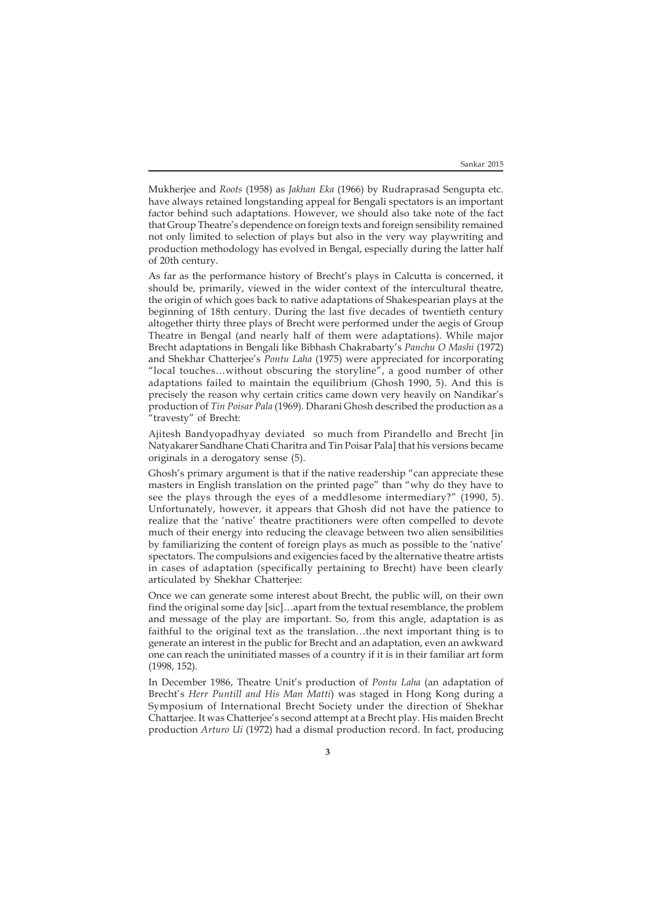Mukherjee and *Roots* (1958) as *Jakhan Eka* (1966) by Rudraprasad Sengupta etc. have always retained longstanding appeal for Bengali spectators is an important factor behind such adaptations. However, we should also take note of the fact that Group Theatre's dependence on foreign texts and foreign sensibility remained not only limited to selection of plays but also in the very way playwriting and production methodology has evolved in Bengal, especially during the latter half of 20th century.

As far as the performance history of Brecht's plays in Calcutta is concerned, it should be, primarily, viewed in the wider context of the intercultural theatre, the origin of which goes back to native adaptations of Shakespearian plays at the beginning of 18th century. During the last five decades of twentieth century altogether thirty three plays of Brecht were performed under the aegis of Group Theatre in Bengal (and nearly half of them were adaptations). While major Brecht adaptations in Bengali like Bibhash Chakrabarty's *Panchu O Mashi* (1972) and Shekhar Chatterjee's *Pontu Laha* (1975) were appreciated for incorporating "local touches…without obscuring the storyline", a good number of other adaptations failed to maintain the equilibrium (Ghosh 1990, 5). And this is precisely the reason why certain critics came down very heavily on Nandikar's production of *Tin Poisar Pala* (1969). Dharani Ghosh described the production as a "travesty" of Brecht:

Ajitesh Bandyopadhyay deviated so much from Pirandello and Brecht [in Natyakarer Sandhane Chati Charitra and Tin Poisar Pala] that his versions became originals in a derogatory sense (5).

Ghosh's primary argument is that if the native readership "can appreciate these masters in English translation on the printed page" than "why do they have to see the plays through the eyes of a meddlesome intermediary?" (1990, 5). Unfortunately, however, it appears that Ghosh did not have the patience to realize that the 'native' theatre practitioners were often compelled to devote much of their energy into reducing the cleavage between two alien sensibilities by familiarizing the content of foreign plays as much as possible to the 'native' spectators. The compulsions and exigencies faced by the alternative theatre artists in cases of adaptation (specifically pertaining to Brecht) have been clearly articulated by Shekhar Chatterjee:

Once we can generate some interest about Brecht, the public will, on their own find the original some day [sic]…apart from the textual resemblance, the problem and message of the play are important. So, from this angle, adaptation is as faithful to the original text as the translation…the next important thing is to generate an interest in the public for Brecht and an adaptation, even an awkward one can reach the uninitiated masses of a country if it is in their familiar art form (1998, 152).

In December 1986, Theatre Unit's production of *Pontu Laha* (an adaptation of Brecht's *Herr Puntill and His Man Matti*) was staged in Hong Kong during a Symposium of International Brecht Society under the direction of Shekhar Chattarjee. It was Chatterjee's second attempt at a Brecht play. His maiden Brecht production *Arturo Ui* (1972) had a dismal production record. In fact, producing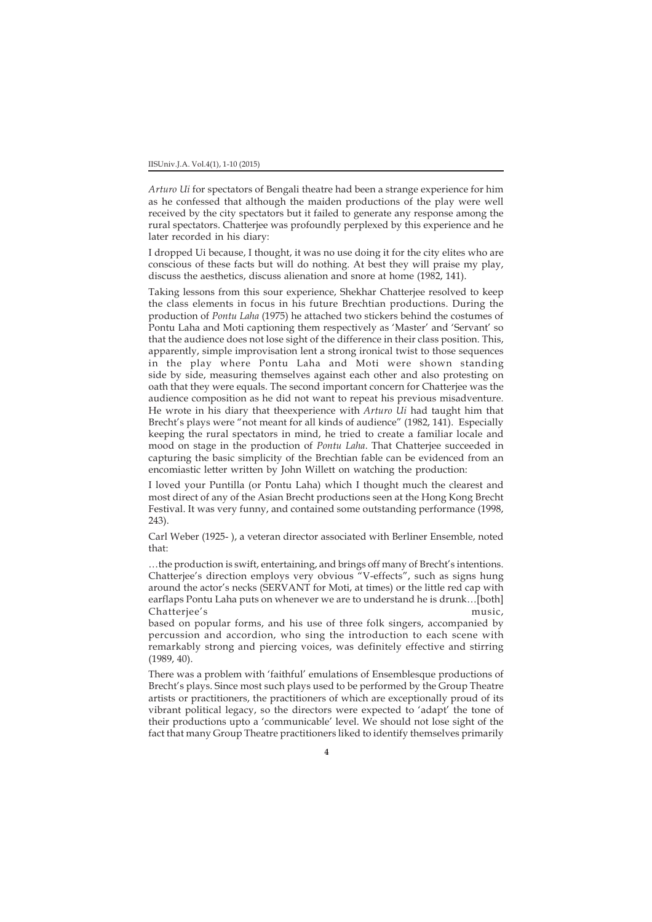*Arturo Ui* for spectators of Bengali theatre had been a strange experience for him as he confessed that although the maiden productions of the play were well received by the city spectators but it failed to generate any response among the rural spectators. Chatterjee was profoundly perplexed by this experience and he later recorded in his diary:

I dropped Ui because, I thought, it was no use doing it for the city elites who are conscious of these facts but will do nothing. At best they will praise my play, discuss the aesthetics, discuss alienation and snore at home (1982, 141).

Taking lessons from this sour experience, Shekhar Chatterjee resolved to keep the class elements in focus in his future Brechtian productions. During the production of *Pontu Laha* (1975) he attached two stickers behind the costumes of Pontu Laha and Moti captioning them respectively as 'Master' and 'Servant' so that the audience does not lose sight of the difference in their class position. This, apparently, simple improvisation lent a strong ironical twist to those sequences in the play where Pontu Laha and Moti were shown standing side by side, measuring themselves against each other and also protesting on oath that they were equals. The second important concern for Chatterjee was the audience composition as he did not want to repeat his previous misadventure. He wrote in his diary that theexperience with *Arturo Ui* had taught him that Brecht's plays were "not meant for all kinds of audience" (1982, 141). Especially keeping the rural spectators in mind, he tried to create a familiar locale and mood on stage in the production of *Pontu Laha*. That Chatterjee succeeded in capturing the basic simplicity of the Brechtian fable can be evidenced from an encomiastic letter written by John Willett on watching the production:

I loved your Puntilla (or Pontu Laha) which I thought much the clearest and most direct of any of the Asian Brecht productions seen at the Hong Kong Brecht Festival. It was very funny, and contained some outstanding performance (1998, 243).

Carl Weber (1925- ), a veteran director associated with Berliner Ensemble, noted that:

…the production is swift, entertaining, and brings off many of Brecht's intentions. Chatterjee's direction employs very obvious "V-effects", such as signs hung around the actor's necks (SERVANT for Moti, at times) or the little red cap with earflaps Pontu Laha puts on whenever we are to understand he is drunk…[both] Chatterjee's music,

based on popular forms, and his use of three folk singers, accompanied by percussion and accordion, who sing the introduction to each scene with remarkably strong and piercing voices, was definitely effective and stirring (1989, 40).

There was a problem with 'faithful' emulations of Ensemblesque productions of Brecht's plays. Since most such plays used to be performed by the Group Theatre artists or practitioners, the practitioners of which are exceptionally proud of its vibrant political legacy, so the directors were expected to 'adapt' the tone of their productions upto a 'communicable' level. We should not lose sight of the fact that many Group Theatre practitioners liked to identify themselves primarily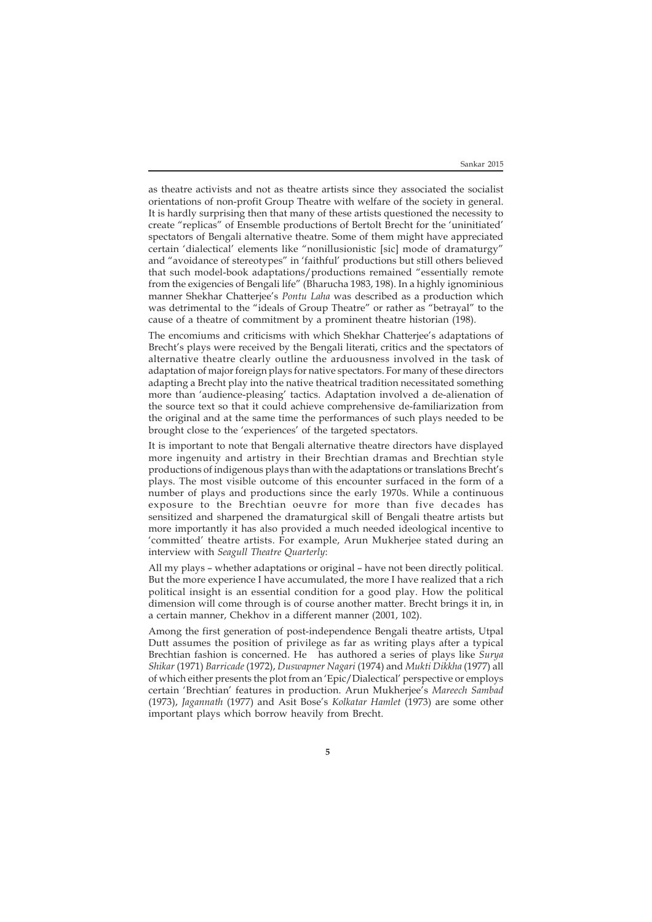as theatre activists and not as theatre artists since they associated the socialist orientations of non-profit Group Theatre with welfare of the society in general. It is hardly surprising then that many of these artists questioned the necessity to create "replicas" of Ensemble productions of Bertolt Brecht for the 'uninitiated' spectators of Bengali alternative theatre. Some of them might have appreciated certain 'dialectical' elements like "nonillusionistic [sic] mode of dramaturgy" and "avoidance of stereotypes" in 'faithful' productions but still others believed that such model-book adaptations/productions remained "essentially remote from the exigencies of Bengali life" (Bharucha 1983, 198). In a highly ignominious manner Shekhar Chatterjee's *Pontu Laha* was described as a production which was detrimental to the "ideals of Group Theatre" or rather as "betrayal" to the cause of a theatre of commitment by a prominent theatre historian (198).

The encomiums and criticisms with which Shekhar Chatterjee's adaptations of Brecht's plays were received by the Bengali literati, critics and the spectators of alternative theatre clearly outline the arduousness involved in the task of adaptation of major foreign plays for native spectators. For many of these directors adapting a Brecht play into the native theatrical tradition necessitated something more than 'audience-pleasing' tactics. Adaptation involved a de-alienation of the source text so that it could achieve comprehensive de-familiarization from the original and at the same time the performances of such plays needed to be brought close to the 'experiences' of the targeted spectators.

It is important to note that Bengali alternative theatre directors have displayed more ingenuity and artistry in their Brechtian dramas and Brechtian style productions of indigenous plays than with the adaptations or translations Brecht's plays. The most visible outcome of this encounter surfaced in the form of a number of plays and productions since the early 1970s. While a continuous exposure to the Brechtian oeuvre for more than five decades has sensitized and sharpened the dramaturgical skill of Bengali theatre artists but more importantly it has also provided a much needed ideological incentive to 'committed' theatre artists. For example, Arun Mukherjee stated during an interview with *Seagull Theatre Quarterly*:

All my plays – whether adaptations or original – have not been directly political. But the more experience I have accumulated, the more I have realized that a rich political insight is an essential condition for a good play. How the political dimension will come through is of course another matter. Brecht brings it in, in a certain manner, Chekhov in a different manner (2001, 102).

Among the first generation of post-independence Bengali theatre artists, Utpal Dutt assumes the position of privilege as far as writing plays after a typical Brechtian fashion is concerned. He has authored a series of plays like *Surya Shikar* (1971) *Barricade* (1972), *Duswapner Nagari* (1974) and *Mukti Dikkha* (1977) all of which either presents the plot from an 'Epic/Dialectical' perspective or employs certain 'Brechtian' features in production. Arun Mukherjee's *Mareech Sambad* (1973), *Jagannath* (1977) and Asit Bose's *Kolkatar Hamlet* (1973) are some other important plays which borrow heavily from Brecht.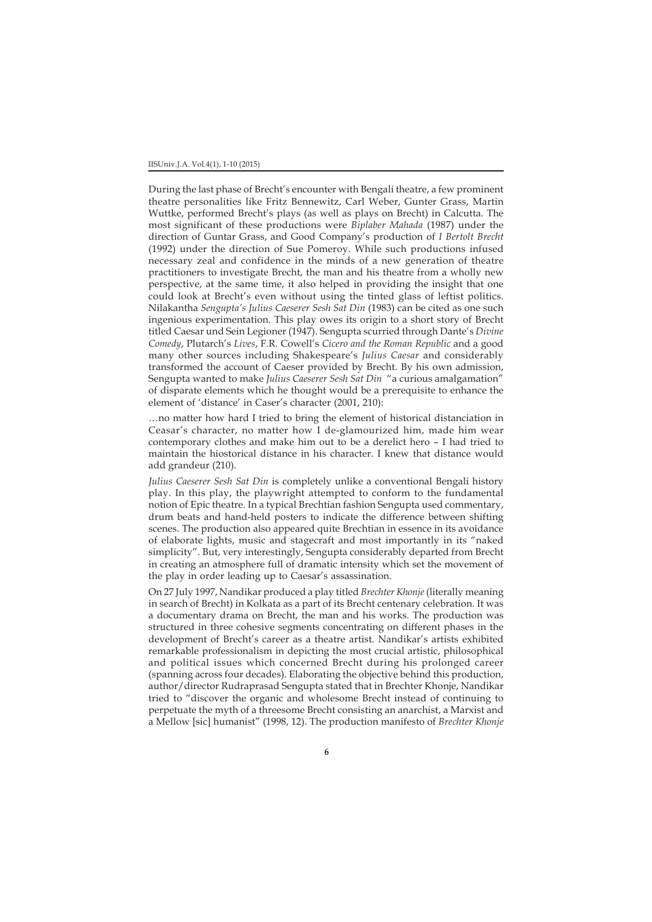During the last phase of Brecht's encounter with Bengali theatre, a few prominent theatre personalities like Fritz Bennewitz, Carl Weber, Gunter Grass, Martin Wuttke, performed Brecht's plays (as well as plays on Brecht) in Calcutta. The most significant of these productions were *Biplaber Mahada* (1987) under the direction of Guntar Grass, and Good Company's production of *I Bertolt Brecht* (1992) under the direction of Sue Pomeroy. While such productions infused necessary zeal and confidence in the minds of a new generation of theatre practitioners to investigate Brecht, the man and his theatre from a wholly new perspective, at the same time, it also helped in providing the insight that one could look at Brecht's even without using the tinted glass of leftist politics. Nilakantha *Sengupta's Julius Caeserer Sesh Sat Din* (1983) can be cited as one such ingenious experimentation. This play owes its origin to a short story of Brecht titled Caesar und Sein Legioner (1947). Sengupta scurried through Dante's *Divine Comedy*, Plutarch's *Lives*, F.R. Cowell's *Cicero and the Roman Republic* and a good many other sources including Shakespeare's *Julius Caesar* and considerably transformed the account of Caeser provided by Brecht. By his own admission, Sengupta wanted to make *Julius Caeserer Sesh Sat Din* "a curious amalgamation" of disparate elements which he thought would be a prerequisite to enhance the element of 'distance' in Caser's character (2001, 210):

…no matter how hard I tried to bring the element of historical distanciation in Ceasar's character, no matter how I de-glamourized him, made him wear contemporary clothes and make him out to be a derelict hero – I had tried to maintain the hiostorical distance in his character. I knew that distance would add grandeur (210).

*Julius Caeserer Sesh Sat Din* is completely unlike a conventional Bengali history play. In this play, the playwright attempted to conform to the fundamental notion of Epic theatre. In a typical Brechtian fashion Sengupta used commentary, drum beats and hand-held posters to indicate the difference between shifting scenes. The production also appeared quite Brechtian in essence in its avoidance of elaborate lights, music and stagecraft and most importantly in its "naked simplicity". But, very interestingly, Sengupta considerably departed from Brecht in creating an atmosphere full of dramatic intensity which set the movement of the play in order leading up to Caesar's assassination.

On 27 July 1997, Nandikar produced a play titled *Brechter Khonje* (literally meaning in search of Brecht) in Kolkata as a part of its Brecht centenary celebration. It was a documentary drama on Brecht, the man and his works. The production was structured in three cohesive segments concentrating on different phases in the development of Brecht's career as a theatre artist. Nandikar's artists exhibited remarkable professionalism in depicting the most crucial artistic, philosophical and political issues which concerned Brecht during his prolonged career (spanning across four decades). Elaborating the objective behind this production, author/director Rudraprasad Sengupta stated that in Brechter Khonje, Nandikar tried to "discover the organic and wholesome Brecht instead of continuing to perpetuate the myth of a threesome Brecht consisting an anarchist, a Marxist and a Mellow [sic] humanist" (1998, 12). The production manifesto of *Brechter Khonje*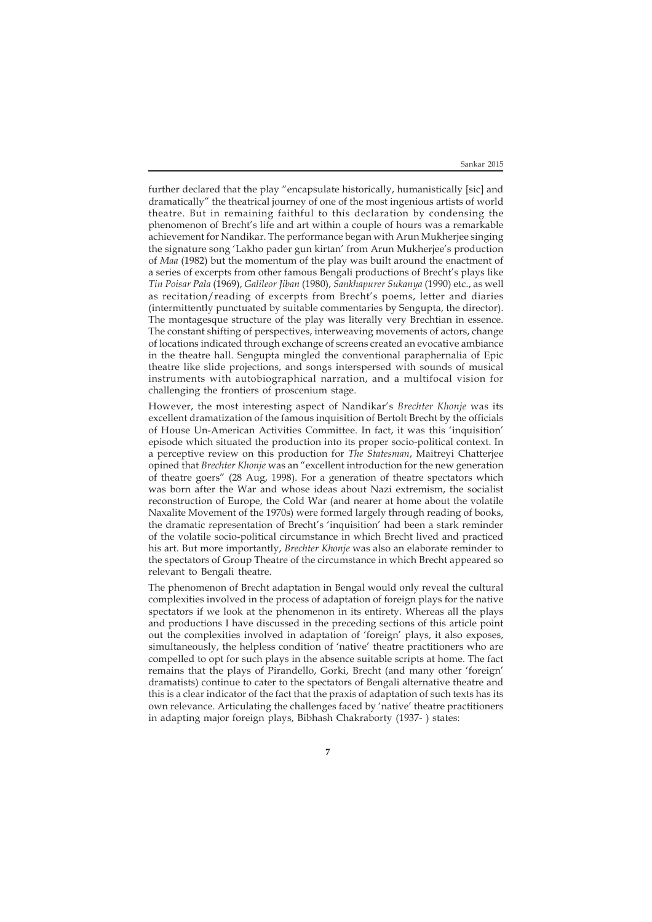further declared that the play "encapsulate historically, humanistically [sic] and dramatically" the theatrical journey of one of the most ingenious artists of world theatre. But in remaining faithful to this declaration by condensing the phenomenon of Brecht's life and art within a couple of hours was a remarkable achievement for Nandikar. The performance began with Arun Mukherjee singing the signature song 'Lakho pader gun kirtan' from Arun Mukherjee's production of *Maa* (1982) but the momentum of the play was built around the enactment of a series of excerpts from other famous Bengali productions of Brecht's plays like *Tin Poisar Pala* (1969), *Galileor Jiban* (1980), *Sankhapurer Sukanya* (1990) etc., as well as recitation/reading of excerpts from Brecht's poems, letter and diaries (intermittently punctuated by suitable commentaries by Sengupta, the director). The montagesque structure of the play was literally very Brechtian in essence. The constant shifting of perspectives, interweaving movements of actors, change of locations indicated through exchange of screens created an evocative ambiance in the theatre hall. Sengupta mingled the conventional paraphernalia of Epic theatre like slide projections, and songs interspersed with sounds of musical instruments with autobiographical narration, and a multifocal vision for challenging the frontiers of proscenium stage.

However, the most interesting aspect of Nandikar's *Brechter Khonje* was its excellent dramatization of the famous inquisition of Bertolt Brecht by the officials of House Un-American Activities Committee. In fact, it was this 'inquisition' episode which situated the production into its proper socio-political context. In a perceptive review on this production for *The Statesman*, Maitreyi Chatterjee opined that *Brechter Khonje* was an "excellent introduction for the new generation of theatre goers" (28 Aug, 1998). For a generation of theatre spectators which was born after the War and whose ideas about Nazi extremism, the socialist reconstruction of Europe, the Cold War (and nearer at home about the volatile Naxalite Movement of the 1970s) were formed largely through reading of books, the dramatic representation of Brecht's 'inquisition' had been a stark reminder of the volatile socio-political circumstance in which Brecht lived and practiced his art. But more importantly, *Brechter Khonje* was also an elaborate reminder to the spectators of Group Theatre of the circumstance in which Brecht appeared so relevant to Bengali theatre.

The phenomenon of Brecht adaptation in Bengal would only reveal the cultural complexities involved in the process of adaptation of foreign plays for the native spectators if we look at the phenomenon in its entirety. Whereas all the plays and productions I have discussed in the preceding sections of this article point out the complexities involved in adaptation of 'foreign' plays, it also exposes, simultaneously, the helpless condition of 'native' theatre practitioners who are compelled to opt for such plays in the absence suitable scripts at home. The fact remains that the plays of Pirandello, Gorki, Brecht (and many other 'foreign' dramatists) continue to cater to the spectators of Bengali alternative theatre and this is a clear indicator of the fact that the praxis of adaptation of such texts has its own relevance. Articulating the challenges faced by 'native' theatre practitioners in adapting major foreign plays, Bibhash Chakraborty (1937- ) states: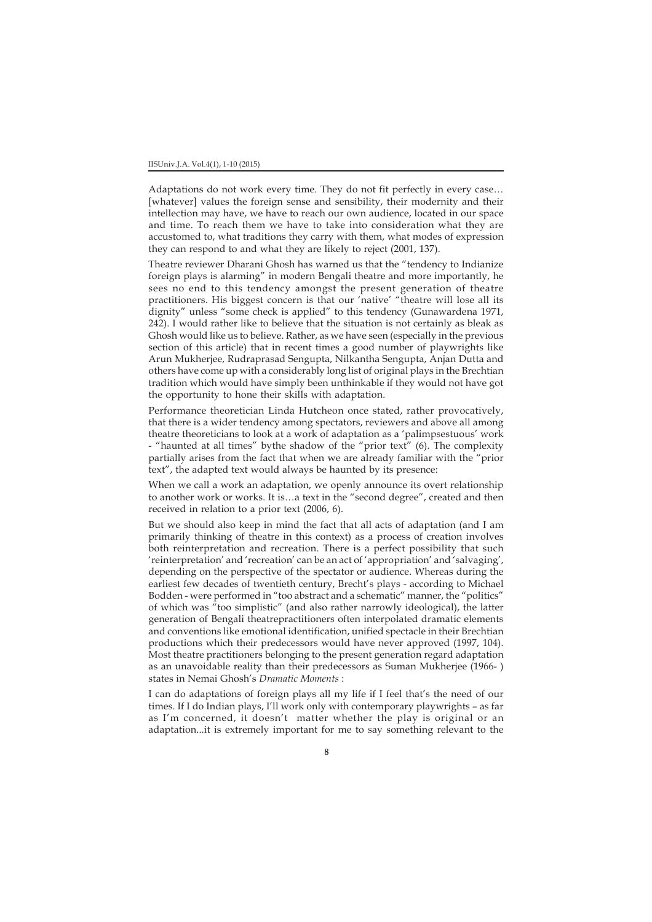Adaptations do not work every time. They do not fit perfectly in every case… [whatever] values the foreign sense and sensibility, their modernity and their intellection may have, we have to reach our own audience, located in our space and time. To reach them we have to take into consideration what they are accustomed to, what traditions they carry with them, what modes of expression they can respond to and what they are likely to reject (2001, 137).

Theatre reviewer Dharani Ghosh has warned us that the "tendency to Indianize foreign plays is alarming" in modern Bengali theatre and more importantly, he sees no end to this tendency amongst the present generation of theatre practitioners. His biggest concern is that our 'native' "theatre will lose all its dignity" unless "some check is applied" to this tendency (Gunawardena 1971, 242). I would rather like to believe that the situation is not certainly as bleak as Ghosh would like us to believe. Rather, as we have seen (especially in the previous section of this article) that in recent times a good number of playwrights like Arun Mukherjee, Rudraprasad Sengupta, Nilkantha Sengupta, Anjan Dutta and others have come up with a considerably long list of original plays in the Brechtian tradition which would have simply been unthinkable if they would not have got the opportunity to hone their skills with adaptation.

Performance theoretician Linda Hutcheon once stated, rather provocatively, that there is a wider tendency among spectators, reviewers and above all among theatre theoreticians to look at a work of adaptation as a 'palimpsestuous' work - "haunted at all times" bythe shadow of the "prior text" (6). The complexity partially arises from the fact that when we are already familiar with the "prior text", the adapted text would always be haunted by its presence:

When we call a work an adaptation, we openly announce its overt relationship to another work or works. It is…a text in the "second degree", created and then received in relation to a prior text (2006, 6).

But we should also keep in mind the fact that all acts of adaptation (and I am primarily thinking of theatre in this context) as a process of creation involves both reinterpretation and recreation. There is a perfect possibility that such 'reinterpretation' and 'recreation' can be an act of 'appropriation' and 'salvaging', depending on the perspective of the spectator or audience. Whereas during the earliest few decades of twentieth century, Brecht's plays - according to Michael Bodden - were performed in "too abstract and a schematic" manner, the "politics" of which was "too simplistic" (and also rather narrowly ideological), the latter generation of Bengali theatrepractitioners often interpolated dramatic elements and conventions like emotional identification, unified spectacle in their Brechtian productions which their predecessors would have never approved (1997, 104). Most theatre practitioners belonging to the present generation regard adaptation as an unavoidable reality than their predecessors as Suman Mukherjee (1966- ) states in Nemai Ghosh's *Dramatic Moments* :

I can do adaptations of foreign plays all my life if I feel that's the need of our times. If I do Indian plays, I'll work only with contemporary playwrights – as far as I'm concerned, it doesn't matter whether the play is original or an adaptation...it is extremely important for me to say something relevant to the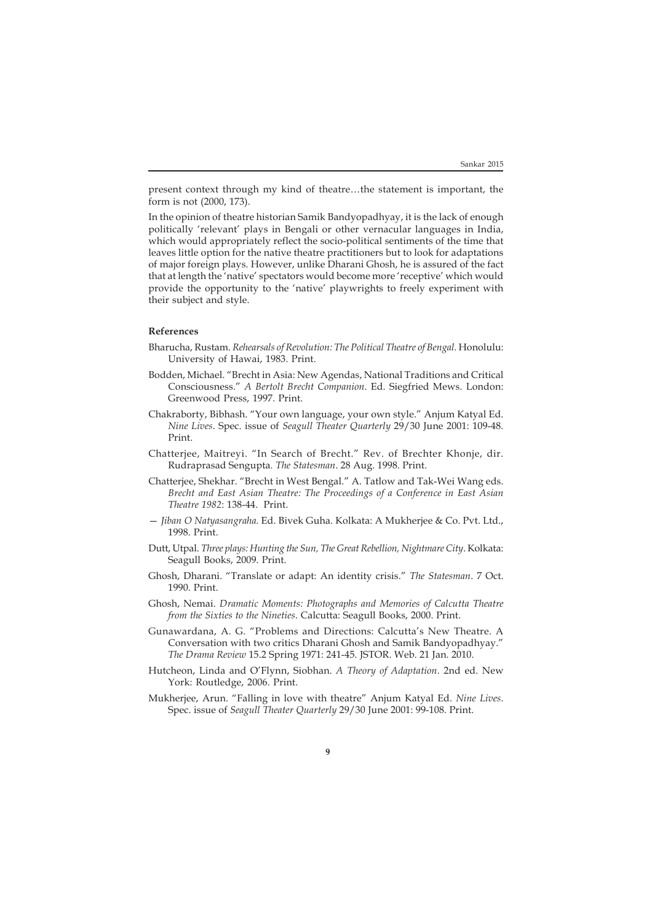present context through my kind of theatre…the statement is important, the form is not (2000, 173).

In the opinion of theatre historian Samik Bandyopadhyay, it is the lack of enough politically 'relevant' plays in Bengali or other vernacular languages in India, which would appropriately reflect the socio-political sentiments of the time that leaves little option for the native theatre practitioners but to look for adaptations of major foreign plays. However, unlike Dharani Ghosh, he is assured of the fact that at length the 'native' spectators would become more 'receptive' which would provide the opportunity to the 'native' playwrights to freely experiment with their subject and style.

## **References**

- Bharucha, Rustam. *Rehearsals of Revolution: The Political Theatre of Bengal.* Honolulu: University of Hawai, 1983. Print.
- Bodden, Michael. "Brecht in Asia: New Agendas, National Traditions and Critical Consciousness." *A Bertolt Brecht Companion*. Ed. Siegfried Mews. London: Greenwood Press, 1997. Print.
- Chakraborty, Bibhash. "Your own language, your own style." Anjum Katyal Ed. *Nine Lives*. Spec. issue of *Seagull Theater Quarterly* 29/30 June 2001: 109-48. Print.
- Chatterjee, Maitreyi. "In Search of Brecht." Rev. of Brechter Khonje, dir. Rudraprasad Sengupta*. The Statesman*. 28 Aug. 1998. Print.
- Chatterjee, Shekhar. "Brecht in West Bengal." A. Tatlow and Tak-Wei Wang eds. *Brecht and East Asian Theatre: The Proceedings of a Conference in East Asian Theatre 1982*: 138-44. Print.
- *Jiban O Natyasangraha*. Ed. Bivek Guha. Kolkata: A Mukherjee & Co. Pvt. Ltd., 1998. Print.
- Dutt, Utpal. *Three plays: Hunting the Sun, The Great Rebellion, Nightmare City*. Kolkata: Seagull Books, 2009. Print.
- Ghosh, Dharani. "Translate or adapt: An identity crisis." *The Statesman*. 7 Oct. 1990. Print.
- Ghosh, Nemai. *Dramatic Moments: Photographs and Memories of Calcutta Theatre from the Sixties to the Nineties*. Calcutta: Seagull Books, 2000. Print.
- Gunawardana, A. G. "Problems and Directions: Calcutta's New Theatre. A Conversation with two critics Dharani Ghosh and Samik Bandyopadhyay." *The Drama Review* 15.2 Spring 1971: 241-45. JSTOR. Web. 21 Jan. 2010.
- Hutcheon, Linda and O'Flynn, Siobhan. *A Theory of Adaptation*. 2nd ed. New York: Routledge, 2006. Print.
- Mukherjee, Arun. "Falling in love with theatre" Anjum Katyal Ed. *Nine Lives*. Spec. issue of *Seagull Theater Quarterly* 29/30 June 2001: 99-108. Print.